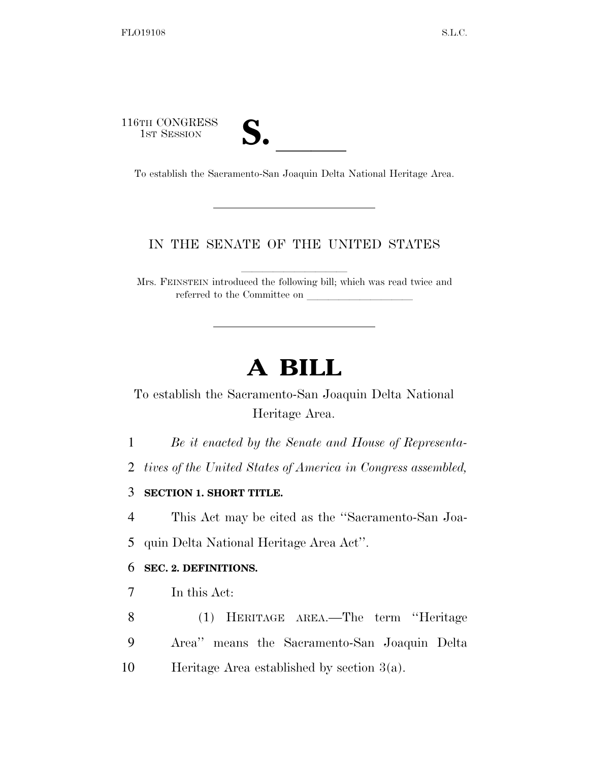116TH CONGRESS

| 7 € |  |
|-----|--|
|     |  |

6TH CONGRESS<br>
1ST SESSION<br>
To establish the Sacramento-San Joaquin Delta National Heritage Area.

## IN THE SENATE OF THE UNITED STATES

Mrs. FEINSTEIN introduced the following bill; which was read twice and referred to the Committee on

## **A BILL**

To establish the Sacramento-San Joaquin Delta National Heritage Area.

1 *Be it enacted by the Senate and House of Representa-*

2 *tives of the United States of America in Congress assembled,* 

3 **SECTION 1. SHORT TITLE.** 

4 This Act may be cited as the ''Sacramento-San Joa-5 quin Delta National Heritage Area Act''.

## 6 **SEC. 2. DEFINITIONS.**

7 In this Act:

8 (1) HERITAGE AREA.—The term ''Heritage 9 Area'' means the Sacramento-San Joaquin Delta 10 Heritage Area established by section 3(a).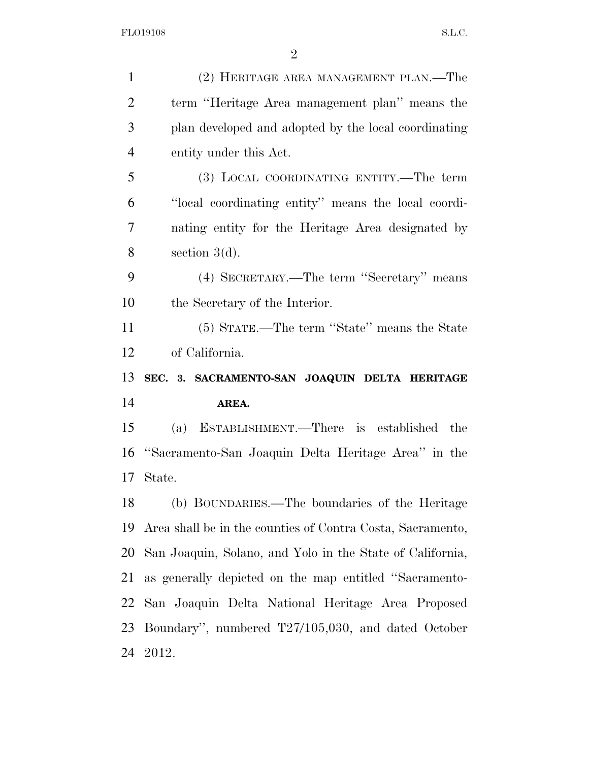| $\mathbf{1}$   | (2) HERITAGE AREA MANAGEMENT PLAN.—The                     |
|----------------|------------------------------------------------------------|
| $\overline{2}$ | term "Heritage Area management plan" means the             |
| 3              | plan developed and adopted by the local coordinating       |
| $\overline{4}$ | entity under this Act.                                     |
| 5              | (3) LOCAL COORDINATING ENTITY.—The term                    |
| 6              | "local coordinating entity" means the local coordi-        |
| $\overline{7}$ | nating entity for the Heritage Area designated by          |
| 8              | section $3(d)$ .                                           |
| 9              | (4) SECRETARY.—The term "Secretary" means                  |
| 10             | the Secretary of the Interior.                             |
| 11             | (5) STATE.—The term "State" means the State                |
| 12             | of California.                                             |
|                |                                                            |
| 13             | SEC. 3. SACRAMENTO-SAN JOAQUIN DELTA HERITAGE              |
| 14             | AREA.                                                      |
| 15             | (a) ESTABLISHMENT.—There is established<br>the             |
| 16             | "Sacramento-San Joaquin Delta Heritage Area" in the        |
| 17             | State.                                                     |
|                | (b) BOUNDARIES.—The boundaries of the Heritage             |
| 18<br>19       | Area shall be in the counties of Contra Costa, Sacramento, |
| 20             | San Joaquin, Solano, and Yolo in the State of California,  |
| 21             | as generally depicted on the map entitled "Sacramento-     |
| 22             | San Joaquin Delta National Heritage Area Proposed          |
| 23             | Boundary", numbered T27/105,030, and dated October         |
|                | 24 2012.                                                   |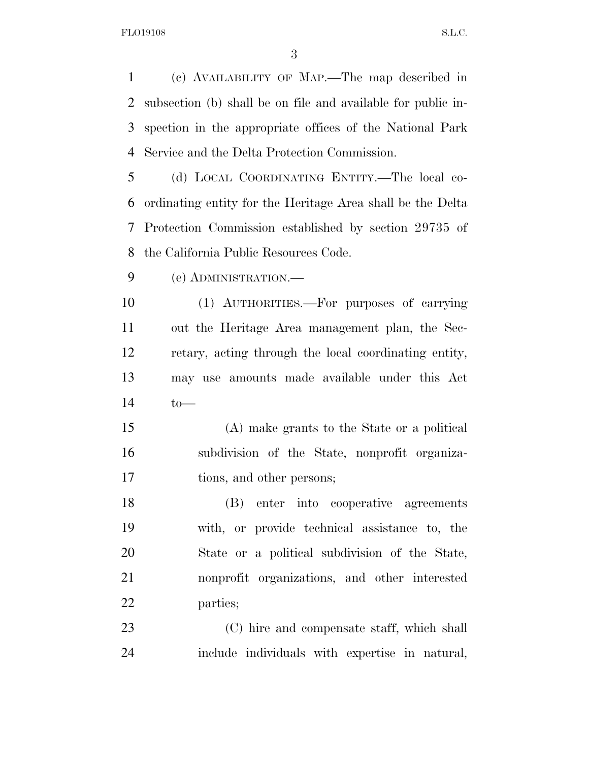(c) AVAILABILITY OF MAP.—The map described in subsection (b) shall be on file and available for public in- spection in the appropriate offices of the National Park Service and the Delta Protection Commission.

 (d) LOCAL COORDINATING ENTITY.—The local co- ordinating entity for the Heritage Area shall be the Delta Protection Commission established by section 29735 of the California Public Resources Code.

(e) ADMINISTRATION.—

 (1) AUTHORITIES.—For purposes of carrying out the Heritage Area management plan, the Sec- retary, acting through the local coordinating entity, may use amounts made available under this Act to—

 (A) make grants to the State or a political subdivision of the State, nonprofit organiza-tions, and other persons;

 (B) enter into cooperative agreements with, or provide technical assistance to, the State or a political subdivision of the State, nonprofit organizations, and other interested parties;

 (C) hire and compensate staff, which shall include individuals with expertise in natural,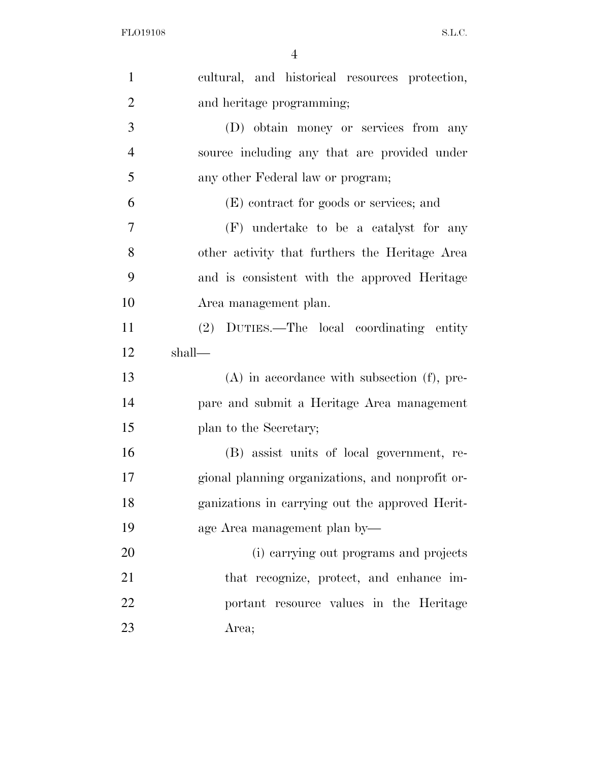| $\mathbf{1}$   | cultural, and historical resources protection,   |
|----------------|--------------------------------------------------|
| $\overline{2}$ | and heritage programming;                        |
| 3              | (D) obtain money or services from any            |
| $\overline{4}$ | source including any that are provided under     |
| 5              | any other Federal law or program;                |
| 6              | (E) contract for goods or services; and          |
| $\overline{7}$ | (F) undertake to be a catalyst for any           |
| 8              | other activity that furthers the Heritage Area   |
| 9              | and is consistent with the approved Heritage     |
| 10             | Area management plan.                            |
| 11             | (2) DUTIES.—The local coordinating entity        |
| 12             | shall—                                           |
| 13             | $(A)$ in accordance with subsection $(f)$ , pre- |
| 14             | pare and submit a Heritage Area management       |
| 15             | plan to the Secretary;                           |
| 16             | (B) assist units of local government, re-        |
| 17             | gional planning organizations, and nonprofit or- |
| 18             | ganizations in carrying out the approved Herit-  |
| 19             | age Area management plan by—                     |
| 20             | (i) carrying out programs and projects           |
| 21             | that recognize, protect, and enhance im-         |
| 22             | portant resource values in the Heritage          |
| 23             | Area;                                            |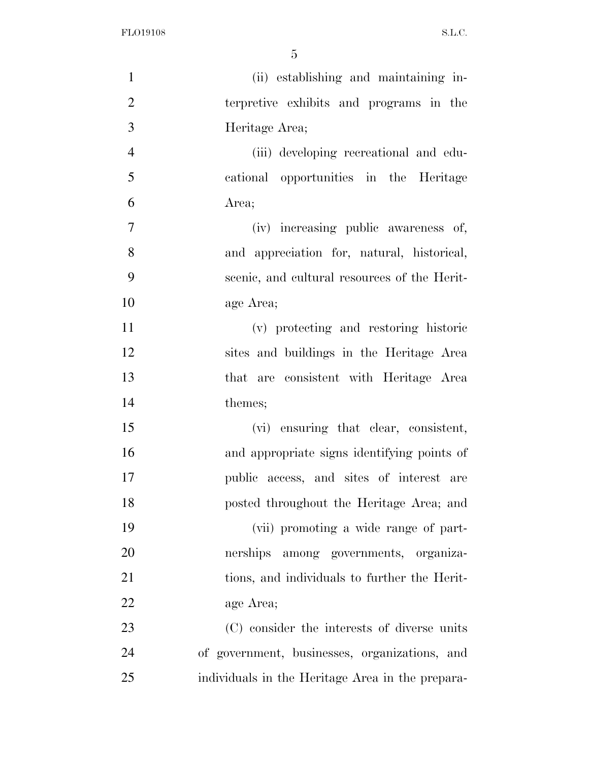| $\mathbf{1}$   | (ii) establishing and maintaining in-            |
|----------------|--------------------------------------------------|
| $\overline{2}$ | terpretive exhibits and programs in the          |
| 3              | Heritage Area;                                   |
| $\overline{4}$ | (iii) developing recreational and edu-           |
| 5              | cational opportunities in the Heritage           |
| 6              | Area;                                            |
| $\tau$         | (iv) increasing public awareness of,             |
| 8              | and appreciation for, natural, historical,       |
| 9              | scenic, and cultural resources of the Herit-     |
| 10             | age Area;                                        |
| 11             | (v) protecting and restoring historic            |
| 12             | sites and buildings in the Heritage Area         |
| 13             | that are consistent with Heritage Area           |
| 14             | themes;                                          |
| 15             | (vi) ensuring that clear, consistent,            |
| 16             | and appropriate signs identifying points of      |
| 17             | public access, and sites of interest are         |
| 18             | posted throughout the Heritage Area; and         |
| 19             | (vii) promoting a wide range of part-            |
| 20             | nerships among governments, organiza-            |
| 21             | tions, and individuals to further the Herit-     |
| 22             | age Area;                                        |
| 23             | (C) consider the interests of diverse units      |
| 24             | of government, businesses, organizations, and    |
| 25             | individuals in the Heritage Area in the prepara- |
|                |                                                  |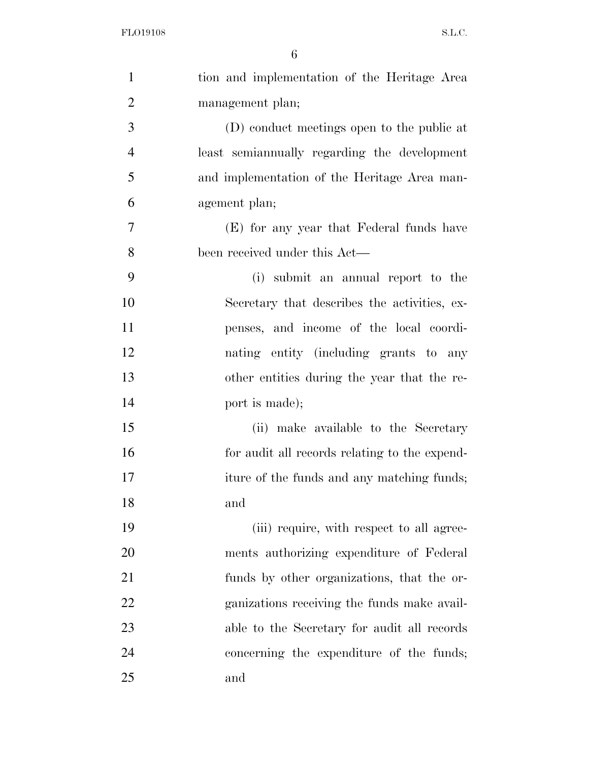| $\mathbf{1}$   | tion and implementation of the Heritage Area  |
|----------------|-----------------------------------------------|
| $\overline{2}$ | management plan;                              |
| 3              | (D) conduct meetings open to the public at    |
| $\overline{4}$ | least semiannually regarding the development  |
| 5              | and implementation of the Heritage Area man-  |
| 6              | agement plan;                                 |
| $\overline{7}$ | (E) for any year that Federal funds have      |
| 8              | been received under this Act—                 |
| 9              | (i) submit an annual report to the            |
| 10             | Secretary that describes the activities, ex-  |
| 11             | penses, and income of the local coordi-       |
| 12             | nating entity (including grants to any        |
| 13             | other entities during the year that the re-   |
| 14             | port is made);                                |
| 15             | (ii) make available to the Secretary          |
| 16             | for audit all records relating to the expend- |
| 17             | iture of the funds and any matching funds;    |
| 18             | and                                           |
| 19             | (iii) require, with respect to all agree-     |
| 20             | ments authorizing expenditure of Federal      |
| 21             | funds by other organizations, that the or-    |
| 22             | ganizations receiving the funds make avail-   |
| 23             | able to the Secretary for audit all records   |
| 24             | concerning the expenditure of the funds;      |
| 25             | and                                           |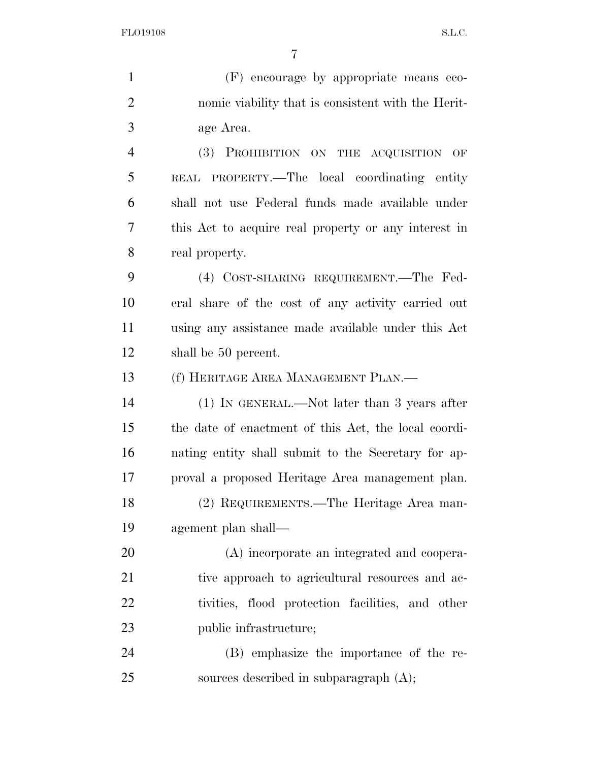(F) encourage by appropriate means eco-

 nomic viability that is consistent with the Herit- age Area. (3) PROHIBITION ON THE ACQUISITION OF REAL PROPERTY.—The local coordinating entity shall not use Federal funds made available under this Act to acquire real property or any interest in real property. (4) COST-SHARING REQUIREMENT.—The Fed- eral share of the cost of any activity carried out using any assistance made available under this Act shall be 50 percent. (f) HERITAGE AREA MANAGEMENT PLAN.— (1) IN GENERAL.—Not later than 3 years after the date of enactment of this Act, the local coordi- nating entity shall submit to the Secretary for ap- proval a proposed Heritage Area management plan. (2) REQUIREMENTS.—The Heritage Area man- agement plan shall— (A) incorporate an integrated and coopera-21 tive approach to agricultural resources and ac- tivities, flood protection facilities, and other public infrastructure; (B) emphasize the importance of the re-

25 sources described in subparagraph  $(A)$ ;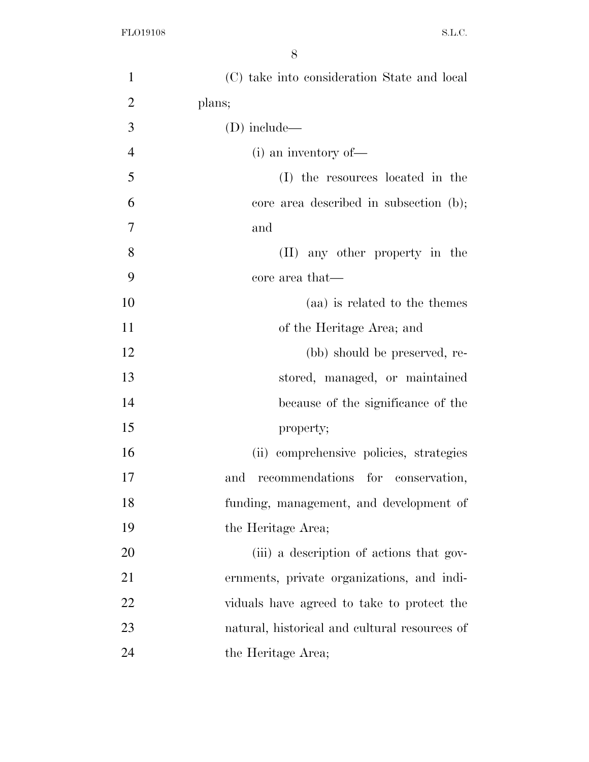| $\mathbf{1}$   | (C) take into consideration State and local   |
|----------------|-----------------------------------------------|
| $\overline{2}$ | plans;                                        |
| 3              | $(D)$ include—                                |
| $\overline{4}$ | $(i)$ an inventory of —                       |
| 5              | (I) the resources located in the              |
| 6              | core area described in subsection (b);        |
| $\tau$         | and                                           |
| 8              | (II) any other property in the                |
| 9              | core area that—                               |
| 10             | (aa) is related to the themes                 |
| 11             | of the Heritage Area; and                     |
| 12             | (bb) should be preserved, re-                 |
| 13             | stored, managed, or maintained                |
| 14             | because of the significance of the            |
| 15             | property;                                     |
| 16             | (ii) comprehensive policies, strategies       |
| 17             | recommendations for conservation,<br>and      |
| 18             | funding, management, and development of       |
| 19             | the Heritage Area;                            |
| 20             | (iii) a description of actions that gov-      |
| 21             | ernments, private organizations, and indi-    |
| 22             | viduals have agreed to take to protect the    |
| 23             | natural, historical and cultural resources of |
| 24             | the Heritage Area;                            |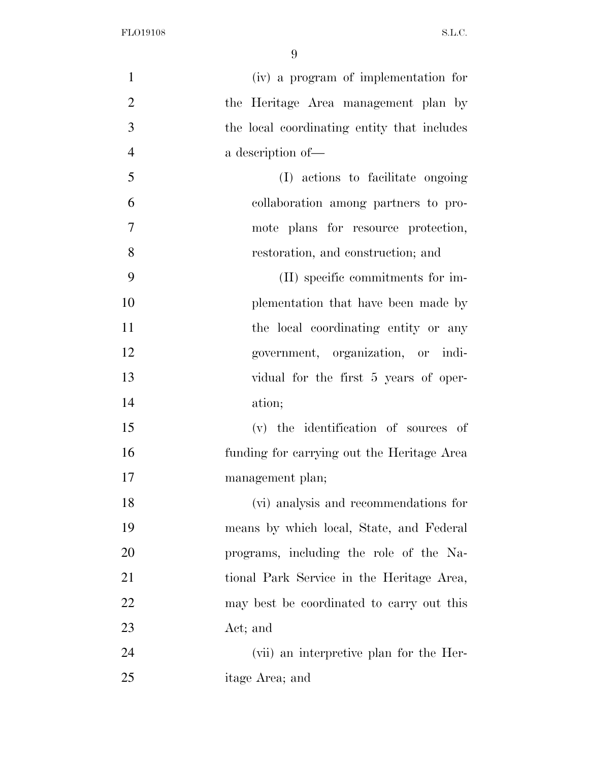| $\mathbf{1}$   | (iv) a program of implementation for        |
|----------------|---------------------------------------------|
| $\overline{2}$ | the Heritage Area management plan by        |
| 3              | the local coordinating entity that includes |
| $\overline{4}$ | a description of-                           |
| 5              | (I) actions to facilitate ongoing           |
| 6              | collaboration among partners to pro-        |
| $\overline{7}$ | mote plans for resource protection,         |
| 8              | restoration, and construction; and          |
| 9              | (II) specific commitments for im-           |
| 10             | plementation that have been made by         |
| 11             | the local coordinating entity or any        |
| 12             | government, organization, or indi-          |
| 13             | vidual for the first 5 years of oper-       |
| 14             | ation;                                      |
| 15             | (v) the identification of sources of        |
| 16             | funding for carrying out the Heritage Area  |
| 17             | management plan;                            |
| 18             | (vi) analysis and recommendations for       |
| 19             | means by which local, State, and Federal    |
| 20             | programs, including the role of the Na-     |
| 21             | tional Park Service in the Heritage Area,   |
| 22             | may best be coordinated to carry out this   |
| 23             | Act; and                                    |
| 24             | (vii) an interpretive plan for the Her-     |
| 25             | itage Area; and                             |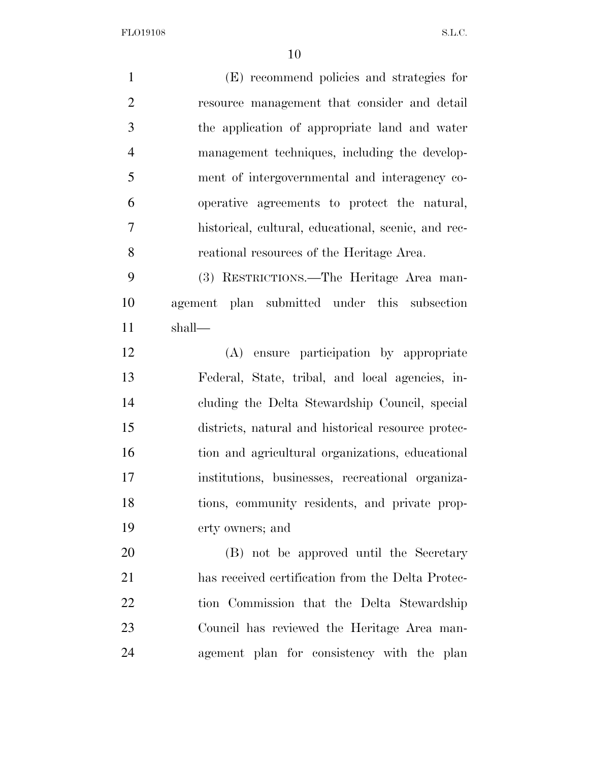(E) recommend policies and strategies for resource management that consider and detail the application of appropriate land and water management techniques, including the develop- ment of intergovernmental and interagency co- operative agreements to protect the natural, historical, cultural, educational, scenic, and rec- reational resources of the Heritage Area. (3) RESTRICTIONS.—The Heritage Area man- agement plan submitted under this subsection shall— (A) ensure participation by appropriate Federal, State, tribal, and local agencies, in- cluding the Delta Stewardship Council, special districts, natural and historical resource protec- tion and agricultural organizations, educational institutions, businesses, recreational organiza- tions, community residents, and private prop- erty owners; and (B) not be approved until the Secretary has received certification from the Delta Protec- tion Commission that the Delta Stewardship Council has reviewed the Heritage Area man-agement plan for consistency with the plan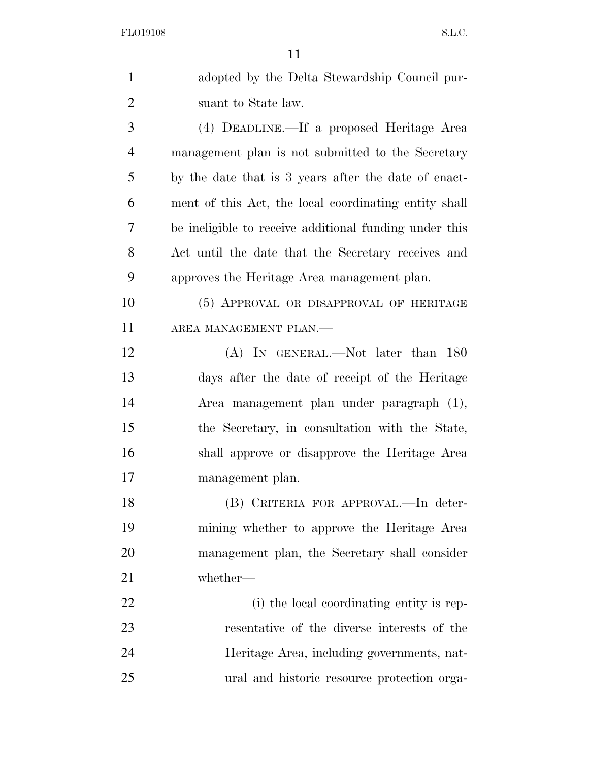| $\mathbf{1}$   | adopted by the Delta Stewardship Council pur-          |
|----------------|--------------------------------------------------------|
| $\overline{2}$ | suant to State law.                                    |
| 3              | (4) DEADLINE.—If a proposed Heritage Area              |
| $\overline{4}$ | management plan is not submitted to the Secretary      |
| 5              | by the date that is 3 years after the date of enact-   |
| 6              | ment of this Act, the local coordinating entity shall  |
| 7              | be ineligible to receive additional funding under this |
| 8              | Act until the date that the Secretary receives and     |
| 9              | approves the Heritage Area management plan.            |
| 10             | (5) APPROVAL OR DISAPPROVAL OF HERITAGE                |
| 11             | AREA MANAGEMENT PLAN.-                                 |
| 12             | (A) IN GENERAL.—Not later than 180                     |
| 13             | days after the date of receipt of the Heritage         |
| 14             | Area management plan under paragraph (1),              |
| 15             | the Secretary, in consultation with the State,         |
| 16             | shall approve or disapprove the Heritage Area          |
| 17             | management plan.                                       |
| 18             | (B) CRITERIA FOR APPROVAL.—In deter-                   |
| 19             | mining whether to approve the Heritage Area            |
| 20             | management plan, the Secretary shall consider          |
| 21             | whether-                                               |
| 22             | (i) the local coordinating entity is rep-              |
| 23             | resentative of the diverse interests of the            |
| 24             | Heritage Area, including governments, nat-             |
| 25             | ural and historic resource protection orga-            |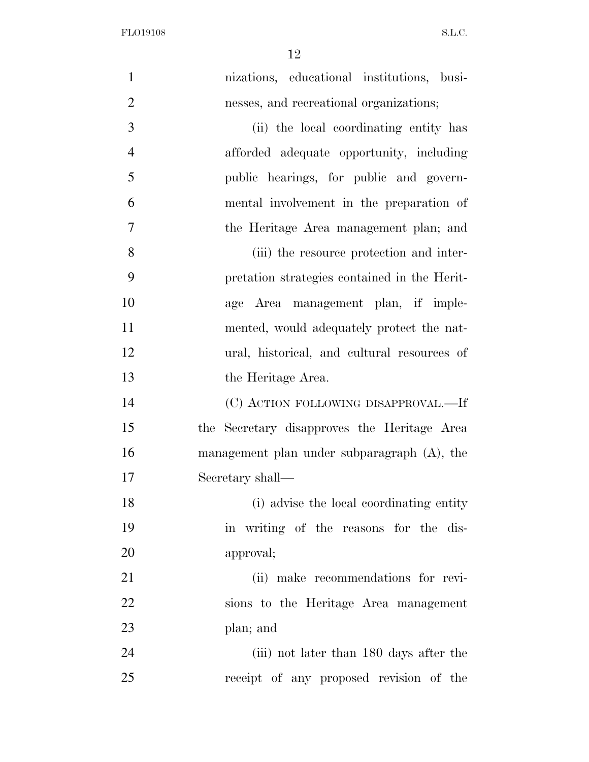| $\mathbf{1}$   | nizations, educational institutions, busi-     |
|----------------|------------------------------------------------|
| $\overline{2}$ | nesses, and recreational organizations;        |
| 3              | (ii) the local coordinating entity has         |
| $\overline{4}$ | afforded adequate opportunity, including       |
| 5              | public hearings, for public and govern-        |
| 6              | mental involvement in the preparation of       |
| 7              | the Heritage Area management plan; and         |
| 8              | (iii) the resource protection and inter-       |
| 9              | pretation strategies contained in the Herit-   |
| 10             | age Area management plan, if imple-            |
| 11             | mented, would adequately protect the nat-      |
| 12             | ural, historical, and cultural resources of    |
| 13             | the Heritage Area.                             |
| 14             | (C) ACTION FOLLOWING DISAPPROVAL.-If           |
| 15             | the Secretary disapproves the Heritage Area    |
| 16             | management plan under subparagraph $(A)$ , the |
| 17             | Secretary shall—                               |
| 18             | (i) advise the local coordinating entity       |
| 19             | in writing of the reasons for the dis-         |
| 20             | approval;                                      |
| 21             | (ii) make recommendations for revi-            |
| 22             | sions to the Heritage Area management          |
| 23             | plan; and                                      |
| 24             | (iii) not later than 180 days after the        |
| 25             | receipt of any proposed revision of the        |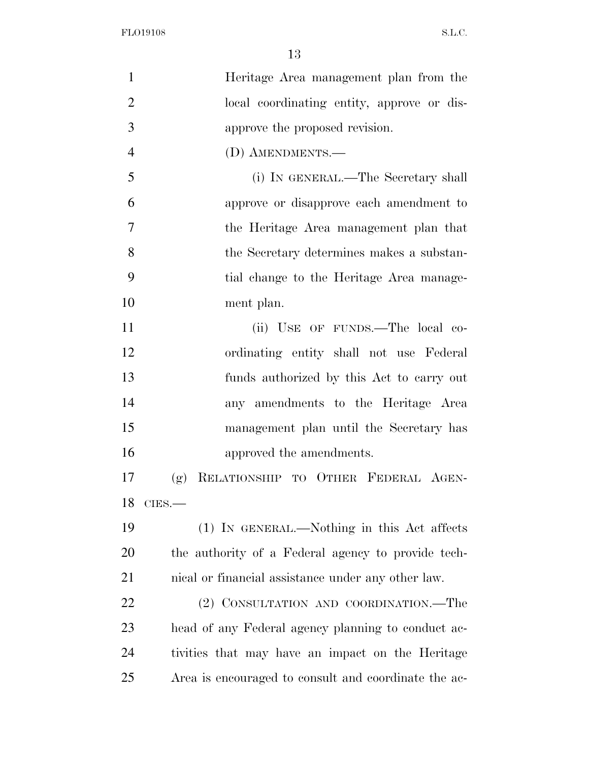| $\mathbf{1}$   | Heritage Area management plan from the               |
|----------------|------------------------------------------------------|
| $\overline{2}$ | local coordinating entity, approve or dis-           |
| 3              | approve the proposed revision.                       |
| $\overline{4}$ | (D) AMENDMENTS.-                                     |
| 5              | (i) IN GENERAL.—The Secretary shall                  |
| 6              | approve or disapprove each amendment to              |
| 7              | the Heritage Area management plan that               |
| 8              | the Secretary determines makes a substan-            |
| 9              | tial change to the Heritage Area manage-             |
| 10             | ment plan.                                           |
| 11             | (ii) USE OF FUNDS.—The local co-                     |
| 12             | ordinating entity shall not use Federal              |
| 13             | funds authorized by this Act to carry out            |
| 14             | any amendments to the Heritage Area                  |
| 15             | management plan until the Secretary has              |
| 16             | approved the amendments.                             |
| 17             | RELATIONSHIP TO OTHER FEDERAL AGEN-<br>(g)           |
|                | 18 CIES.-                                            |
| 19             | (1) IN GENERAL.—Nothing in this Act affects          |
| 20             | the authority of a Federal agency to provide tech-   |
| 21             | nical or financial assistance under any other law.   |
| 22             | (2) CONSULTATION AND COORDINATION.—The               |
| 23             | head of any Federal agency planning to conduct ac-   |
| 24             | tivities that may have an impact on the Heritage     |
| 25             | Area is encouraged to consult and coordinate the ac- |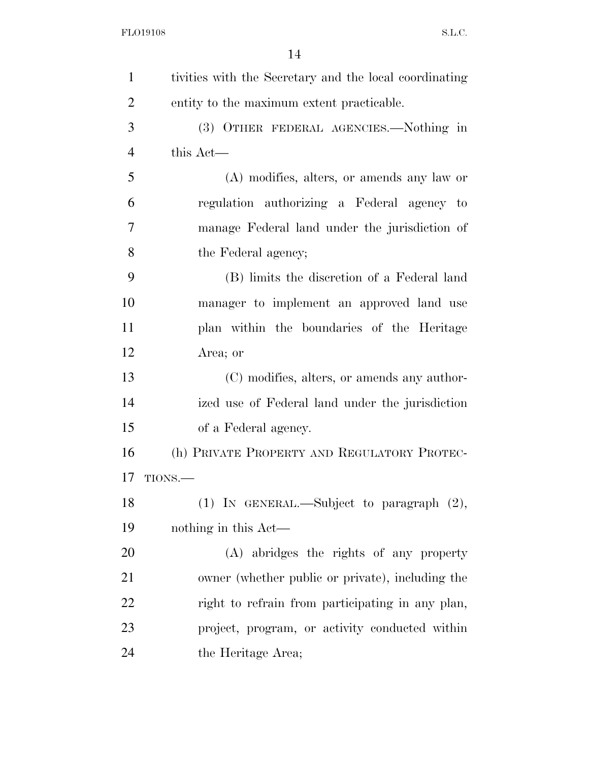| $\mathbf{1}$   | tivities with the Secretary and the local coordinating |
|----------------|--------------------------------------------------------|
| $\overline{2}$ | entity to the maximum extent practicable.              |
| 3              | (3) OTHER FEDERAL AGENCIES.—Nothing in                 |
| $\overline{4}$ | this Act-                                              |
| 5              | (A) modifies, alters, or amends any law or             |
| 6              | regulation authorizing a Federal agency to             |
| 7              | manage Federal land under the jurisdiction of          |
| 8              | the Federal agency;                                    |
| 9              | (B) limits the discretion of a Federal land            |
| 10             | manager to implement an approved land use              |
| 11             | plan within the boundaries of the Heritage             |
| 12             | Area; or                                               |
| 13             | (C) modifies, alters, or amends any author-            |
| 14             | ized use of Federal land under the jurisdiction        |
| 15             | of a Federal agency.                                   |
| 16             | (h) PRIVATE PROPERTY AND REGULATORY PROTEC-            |
| 17             | TIONS.                                                 |
| 18             | $(1)$ IN GENERAL.—Subject to paragraph $(2)$ ,         |
| 19             | nothing in this Act—                                   |
| <b>20</b>      | (A) abridges the rights of any property                |
| 21             | owner (whether public or private), including the       |
| 22             | right to refrain from participating in any plan,       |
| 23             | project, program, or activity conducted within         |
| 24             | the Heritage Area;                                     |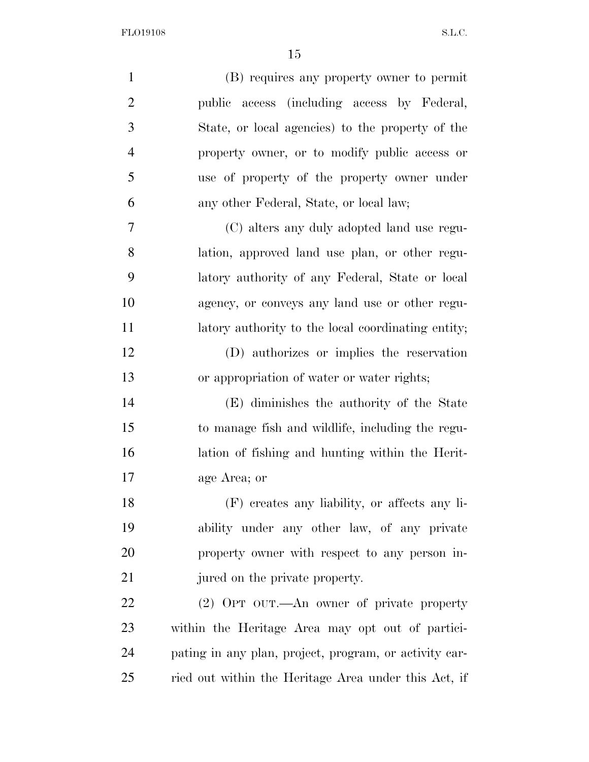| $\mathbf{1}$   | (B) requires any property owner to permit              |
|----------------|--------------------------------------------------------|
| $\overline{2}$ | public access (including access by Federal,            |
| 3              | State, or local agencies) to the property of the       |
| $\overline{4}$ | property owner, or to modify public access or          |
| 5              | use of property of the property owner under            |
| 6              | any other Federal, State, or local law;                |
| 7              | (C) alters any duly adopted land use regu-             |
| 8              | lation, approved land use plan, or other regu-         |
| 9              | latory authority of any Federal, State or local        |
| 10             | agency, or conveys any land use or other regu-         |
| 11             | latory authority to the local coordinating entity;     |
| 12             | (D) authorizes or implies the reservation              |
| 13             | or appropriation of water or water rights;             |
| 14             | (E) diminishes the authority of the State              |
| 15             | to manage fish and wildlife, including the regu-       |
| 16             | lation of fishing and hunting within the Herit-        |
| 17             | age Area; or                                           |
| 18             | (F) creates any liability, or affects any li-          |
| 19             | ability under any other law, of any private            |
| 20             | property owner with respect to any person in-          |
| 21             | jured on the private property.                         |
| 22             | (2) OPT OUT.—An owner of private property              |
| 23             | within the Heritage Area may opt out of partici-       |
| 24             | pating in any plan, project, program, or activity car- |
| 25             | ried out within the Heritage Area under this Act, if   |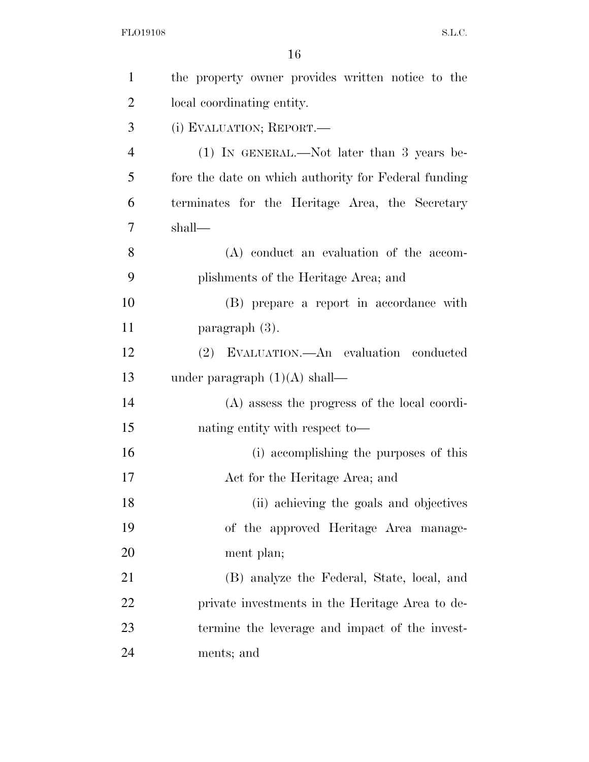| $\mathbf{1}$   | the property owner provides written notice to the    |
|----------------|------------------------------------------------------|
| $\overline{2}$ | local coordinating entity.                           |
| 3              | (i) EVALUATION; REPORT.                              |
| $\overline{4}$ | $(1)$ IN GENERAL.—Not later than 3 years be-         |
| 5              | fore the date on which authority for Federal funding |
| 6              | terminates for the Heritage Area, the Secretary      |
| 7              | shall-                                               |
| 8              | $(A)$ conduct an evaluation of the accom-            |
| 9              | plishments of the Heritage Area; and                 |
| 10             | (B) prepare a report in accordance with              |
| 11             | paragraph $(3)$ .                                    |
| 12             | (2) EVALUATION.—An evaluation conducted              |
| 13             | under paragraph $(1)(A)$ shall—                      |
| 14             | (A) assess the progress of the local coordi-         |
| 15             | nating entity with respect to-                       |
| 16             | (i) accomplishing the purposes of this               |
| 17             | Act for the Heritage Area; and                       |
| 18             | (ii) achieving the goals and objectives              |
| 19             | of the approved Heritage Area manage-                |
| 20             | ment plan;                                           |
| 21             | (B) analyze the Federal, State, local, and           |
| 22             | private investments in the Heritage Area to de-      |
| 23             | termine the leverage and impact of the invest-       |
| 24             | ments; and                                           |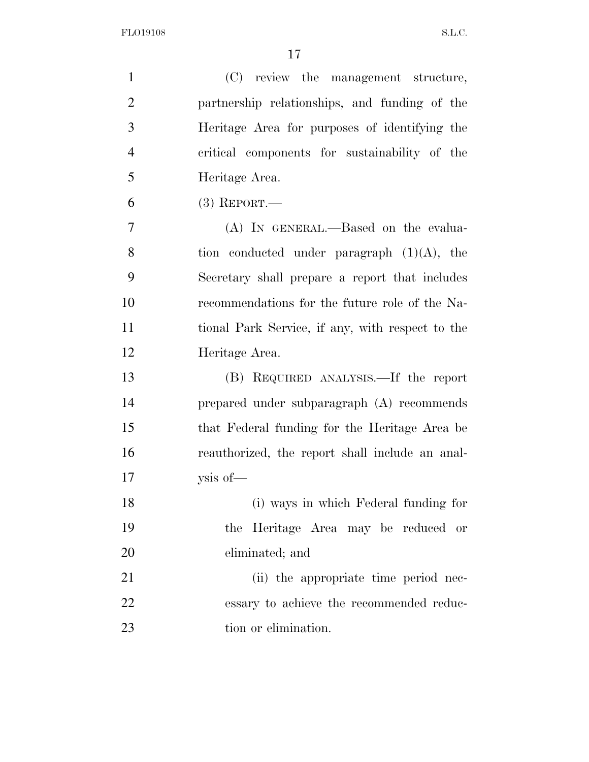| $\mathbf{1}$   | (C) review the management structure,             |
|----------------|--------------------------------------------------|
| $\overline{2}$ | partnership relationships, and funding of the    |
| 3              | Heritage Area for purposes of identifying the    |
| $\overline{4}$ | critical components for sustainability of the    |
| 5              | Heritage Area.                                   |
| 6              | $(3)$ REPORT.—                                   |
| 7              | (A) IN GENERAL.—Based on the evalua-             |
| 8              | tion conducted under paragraph $(1)(A)$ , the    |
| 9              | Secretary shall prepare a report that includes   |
| 10             | recommendations for the future role of the Na-   |
| 11             | tional Park Service, if any, with respect to the |
| 12             | Heritage Area.                                   |
| 13             | (B) REQUIRED ANALYSIS.—If the report             |
| 14             | prepared under subparagraph (A) recommends       |
| 15             | that Federal funding for the Heritage Area be    |
| 16             | reauthorized, the report shall include an anal-  |
| 17             | ysis of-                                         |
| 18             | (i) ways in which Federal funding for            |
| 19             | the Heritage Area may be reduced or              |
| 20             | eliminated; and                                  |
| 21             | (ii) the appropriate time period nec-            |
| 22             | essary to achieve the recommended reduc-         |
| 23             | tion or elimination.                             |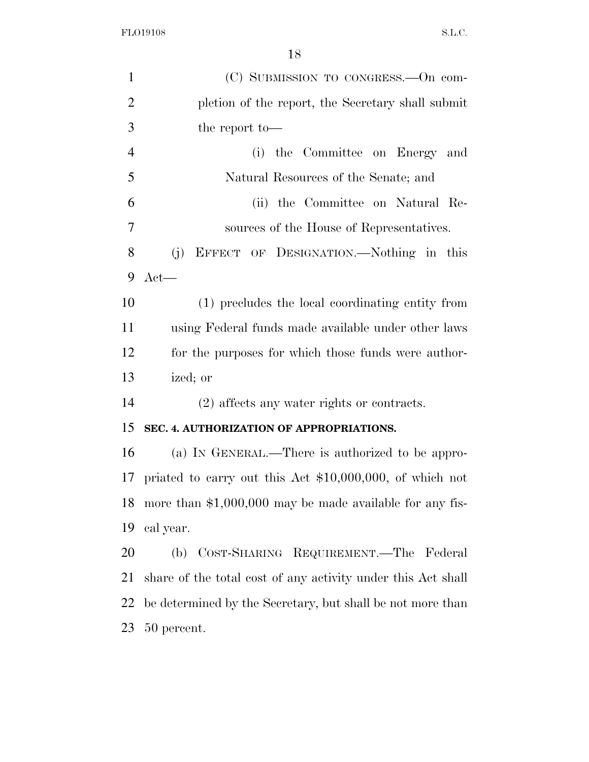| $\mathbf{1}$   | (C) SUBMISSION TO CONGRESS.—On com-                          |
|----------------|--------------------------------------------------------------|
| $\overline{2}$ | pletion of the report, the Secretary shall submit            |
| 3              | the report to-                                               |
| $\overline{4}$ | the Committee on Energy and<br>(i)                           |
| 5              | Natural Resources of the Senate; and                         |
| 6              | (ii) the Committee on Natural Re-                            |
| $\overline{7}$ | sources of the House of Representatives.                     |
| 8              | (j)<br>EFFECT OF DESIGNATION.—Nothing in this                |
| 9              | $Act$ —                                                      |
| 10             | (1) precludes the local coordinating entity from             |
| 11             | using Federal funds made available under other laws          |
| 12             | for the purposes for which those funds were author-          |
| 13             | ized; or                                                     |
| 14             | $(2)$ affects any water rights or contracts.                 |
| 15             | SEC. 4. AUTHORIZATION OF APPROPRIATIONS.                     |
| 16             | (a) IN GENERAL.—There is authorized to be appro-             |
| 17             | priated to carry out this Act $$10,000,000$ , of which not   |
| 18             | more than $$1,000,000$ may be made available for any fis-    |
| 19             | cal year.                                                    |
| 20             | (b) COST-SHARING REQUIREMENT.—The Federal                    |
| 21             | share of the total cost of any activity under this Act shall |
| 22             | be determined by the Secretary, but shall be not more than   |
| 23             | 50 percent.                                                  |